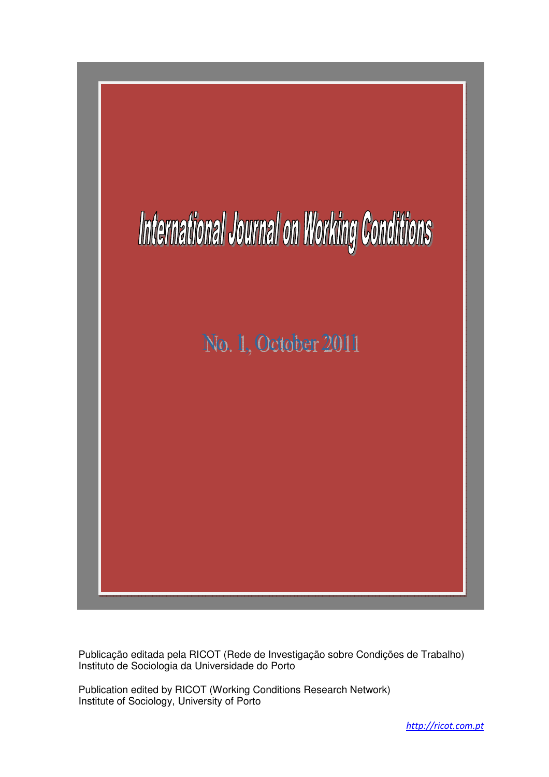

Publicação editada pela RICOT (Rede de Investigação sobre Condições de Trabalho) Instituto de Sociologia da Universidade do Porto

Publication edited by RICOT (Working Conditions Research Network) Institute of Sociology, University of Porto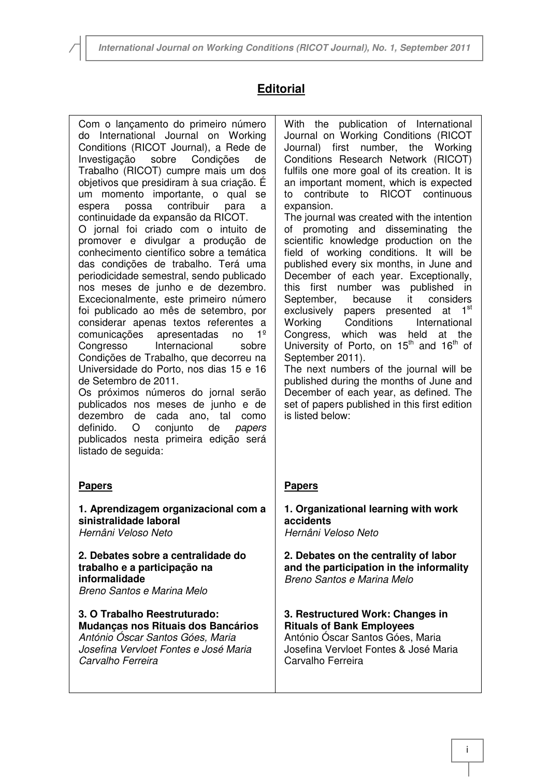# **Editorial**

Com o lançamento do primeiro número do International Journal on Working Conditions (RICOT Journal), a Rede de Investigação sobre Condições de Trabalho (RICOT) cumpre mais um dos objetivos que presidiram à sua criação. É um momento importante, o qual se espera possa contribuir para a continuidade da expansão da RICOT.

O jornal foi criado com o intuito de promover e divulgar a produção de conhecimento científico sobre a temática das condições de trabalho. Terá uma periodicidade semestral, sendo publicado nos meses de junho e de dezembro. Excecionalmente, este primeiro número foi publicado ao mês de setembro, por considerar apenas textos referentes a comunicações apresentadas no 1º Congresso Internacional sobre Condições de Trabalho, que decorreu na Universidade do Porto, nos dias 15 e 16 de Setembro de 2011. Os próximos números do jornal serão

publicados nos meses de junho e de dezembro de cada ano, tal como definido. O conjunto de papers publicados nesta primeira edição será listado de seguida:

## **Papers**

 $\overline{a}$ 

**1. Aprendizagem organizacional com a sinistralidade laboral**  Hernâni Veloso Neto

**2. Debates sobre a centralidade do trabalho e a participação na informalidade**  Breno Santos e Marina Melo

**3. O Trabalho Reestruturado: Mudanças nos Rituais dos Bancários**  António Óscar Santos Góes, Maria Josefina Vervloet Fontes e José Maria Carvalho Ferreira

With the publication of International Journal on Working Conditions (RICOT Journal) first number, the Working Conditions Research Network (RICOT) fulfils one more goal of its creation. It is an important moment, which is expected to contribute to RICOT continuous expansion.

The journal was created with the intention of promoting and disseminating the scientific knowledge production on the field of working conditions. It will be published every six months, in June and December of each year. Exceptionally, this first number was published in September, because it considers exclusively papers presented at 1<sup>st</sup> Working Conditions International Congress, which was held at the University of Porto, on  $15<sup>th</sup>$  and  $16<sup>th</sup>$  of September 2011).

The next numbers of the journal will be published during the months of June and December of each year, as defined. The set of papers published in this first edition is listed below:

## **Papers**

**1. Organizational learning with work accidents**  Hernâni Veloso Neto

**2. Debates on the centrality of labor and the participation in the informality**  Breno Santos e Marina Melo

**3. Restructured Work: Changes in Rituals of Bank Employees**  António Óscar Santos Góes, Maria Josefina Vervloet Fontes & José Maria Carvalho Ferreira